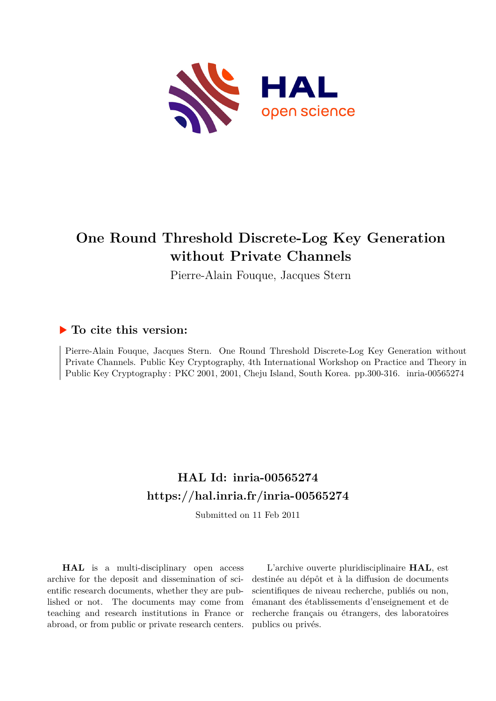

# **One Round Threshold Discrete-Log Key Generation without Private Channels**

Pierre-Alain Fouque, Jacques Stern

## **To cite this version:**

Pierre-Alain Fouque, Jacques Stern. One Round Threshold Discrete-Log Key Generation without Private Channels. Public Key Cryptography, 4th International Workshop on Practice and Theory in Public Key Cryptography: PKC 2001, 2001, Cheju Island, South Korea. pp.300-316. inria-00565274

# **HAL Id: inria-00565274 <https://hal.inria.fr/inria-00565274>**

Submitted on 11 Feb 2011

**HAL** is a multi-disciplinary open access archive for the deposit and dissemination of scientific research documents, whether they are published or not. The documents may come from teaching and research institutions in France or abroad, or from public or private research centers.

L'archive ouverte pluridisciplinaire **HAL**, est destinée au dépôt et à la diffusion de documents scientifiques de niveau recherche, publiés ou non, émanant des établissements d'enseignement et de recherche français ou étrangers, des laboratoires publics ou privés.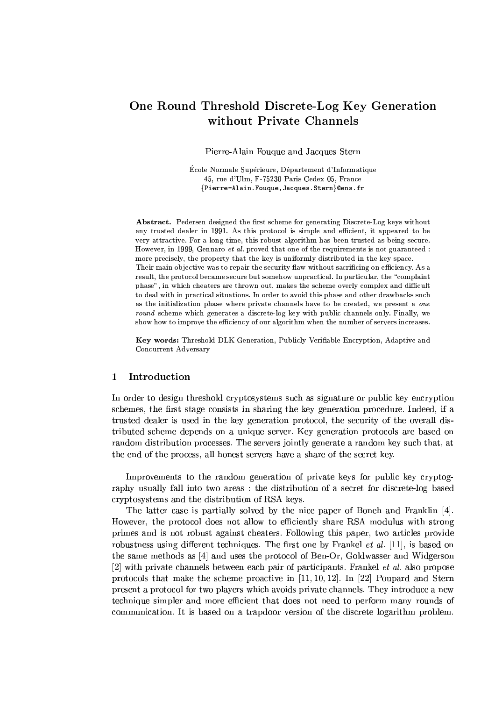## One Round Threshold Discrete-Log Key Generation without Private Channels

Pierre-Alain Fouque and Jacques Stern

École Normale Supérieure, Département d'Informatique 45, rue d'Ulm, F-75230 Paris Cedex 05, France {Pierre-Alain.Fouque,Jacques.Stern}@ens.fr

Abstract. Pedersen designed the first scheme for generating Discrete-Log keys without any trusted dealer in 1991. As this protocol is simple and efficient, it appeared to be very attractive. For a long time, this robust algorithm has been trusted as being secure. However, in 1999, Gennaro et al. proved that one of the requirements is not guaranteed : more precisely, the property that the key is uniformly distributed in the key space. Their main objective was to repair the security flaw without sacrificing on efficiency. As a result, the protocol became secure but somehow unpractical. In particular, the "complaint phase", in which cheaters are thrown out, makes the scheme overly complex and difficult to deal with in practical situations. In order to avoid this phase and other drawbacks such as the initialization phase where private channels have to be created, we present a one round scheme which generates a discrete-log key with public channels only. Finally, we show how to improve the efficiency of our algorithm when the number of servers increases.

Key words: Threshold DLK Generation, Publicly Verifiable Encryption, Adaptive and Concurrent Adversary

#### Introduction  $\mathbf{1}$

In order to design threshold cryptosystems such as signature or public key encryption schemes, the first stage consists in sharing the key generation procedure. Indeed, if a trusted dealer is used in the key generation protocol, the security of the overall distributed scheme depends on a unique server. Key generation protocols are based on random distribution processes. The servers jointly generate a random key such that, at the end of the process, all honest servers have a share of the secret key.

Improvements to the random generation of private keys for public key cryptography usually fall into two areas: the distribution of a secret for discrete-log based cryptosystems and the distribution of RSA keys.

The latter case is partially solved by the nice paper of Boneh and Franklin [4]. However, the protocol does not allow to efficiently share RSA modulus with strong primes and is not robust against cheaters. Following this paper, two articles provide robustness using different techniques. The first one by Frankel *et al.* [11], is based on the same methods as [4] and uses the protocol of Ben-Or, Goldwasser and Widgerson [2] with private channels between each pair of participants. Frankel *et al.* also propose protocols that make the scheme proactive in [11, 10, 12]. In [22] Poupard and Stern present a protocol for two players which avoids private channels. They introduce a new technique simpler and more efficient that does not need to perform many rounds of communication. It is based on a trapdoor version of the discrete logarithm problem.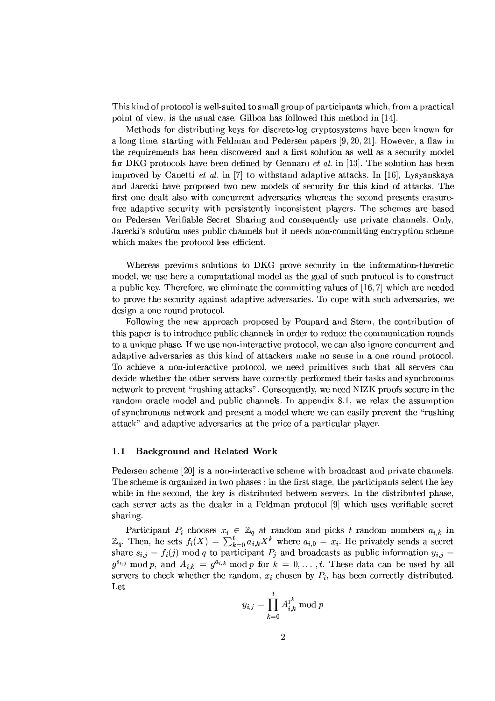This kind of protocol is well-suited to small group of participants which, from a practical point of view, is the usual case. Gilboa has followed this method in [14].

Methods for distributing keys for discrete-log cryptosystems have been known for a long time, starting with Feldman and Pedersen papers [9, 20, 21]. However, a flaw in the requirements has been discovered and a first solution as well as a security model for DKG protocols have been defined by Gennaro *et al.* in [13]. The solution has been improved by Canetti *et al.* in [7] to withstand adaptive attacks. In [16], Lysyanskaya and Jarecki have proposed two new models of security for this kind of attacks. The first one dealt also with concurrent adversaries whereas the second presents erasurefree adaptive security with persistently inconsistent players. The schemes are based on Pedersen Verifiable Secret Sharing and consequently use private channels. Only, Jarecki's solution uses public channels but it needs non-committing encryption scheme which makes the protocol less efficient.

Whereas previous solutions to DKG prove security in the information-theoretic model, we use here a computational model as the goal of such protocol is to construct a public key. Therefore, we eliminate the committing values of  $[16, 7]$  which are needed to prove the security against adaptive adversaries. To cope with such adversaries, we design a one round protocol.

Following the new approach proposed by Poupard and Stern, the contribution of this paper is to introduce public channels in order to reduce the communication rounds to a unique phase. If we use non-interactive protocol, we can also ignore concurrent and adaptive adversaries as this kind of attackers make no sense in a one round protocol. To achieve a non-interactive protocol, we need primitives such that all servers can decide whether the other servers have correctly performed their tasks and synchronous network to prevent "rushing attacks". Consequently, we need NIZK proofs secure in the random oracle model and public channels. In appendix 8.1, we relax the assumption of synchronous network and present a model where we can easily prevent the "rushing" attack" and adaptive adversaries at the price of a particular player.

#### **Background and Related Work**  $1.1$

Pedersen scheme [20] is a non-interactive scheme with broadcast and private channels. The scheme is organized in two phases : in the first stage, the participants select the key while in the second, the key is distributed between servers. In the distributed phase, each server acts as the dealer in a Feldman protocol [9] which uses verifiable secret sharing.

Participant  $P_i$  chooses  $x_i \in \mathbb{Z}_q$  at random and picks t random numbers  $a_{i,k}$  in  $\mathbb{Z}_q$ . Then, he sets  $f_i(X) = \sum_{k=0}^t a_{i,k} X^k$  where  $a_{i,0} = x_i$ . He privately sends a secret share  $s_{i,j} = f_i(j)$  mod q to participant  $P_j$  and broadcasts as public information  $y_{i,j}$  $g^{s_{i,j}}$  mod p, and  $A_{i,k} = g^{a_{i,k}}$  mod p for  $k = 0, \ldots, t$ . These data can be used by all servers to check whether the random,  $x_i$  chosen by  $P_i$ , has been correctly distributed. Let

$$
y_{i,j} = \prod_{k=0}^t A_{i,k}^{j^k} \bmod p
$$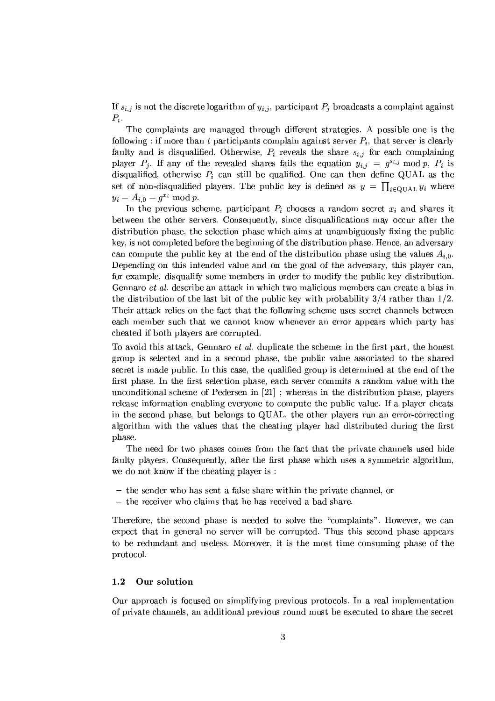If  $s_{i,j}$  is not the discrete logarithm of  $y_{i,j}$ , participant  $P_j$  broadcasts a complaint against  $P_i$ .

The complaints are managed through different strategies. A possible one is the following: if more than t participants complain against server  $P_i$ , that server is clearly faulty and is disqualified. Otherwise,  $P_i$  reveals the share  $s_{i,j}$  for each complaining player  $P_j$ . If any of the revealed shares fails the equation  $y_{i,j} = g^{s_{i,j}} \mod p$ ,  $P_i$  is disqualified, otherwise  $P_i$  can still be qualified. One can then define QUAL as the set of non-disqualified players. The public key is defined as  $y = \prod_{i \in \text{OIIAL}} y_i$  where  $y_i = A_{i,0} = q^{x_i} \bmod p.$ 

In the previous scheme, participant  $P_i$  chooses a random secret  $x_i$  and shares it between the other servers. Consequently, since disqualifications may occur after the distribution phase, the selection phase which aims at unambiguously fixing the public key, is not completed before the beginning of the distribution phase. Hence, an adversary can compute the public key at the end of the distribution phase using the values  $A_{i,0}$ . Depending on this intended value and on the goal of the adversary, this player can, for example, disqualify some members in order to modify the public key distribution. Gennaro et al. describe an attack in which two malicious members can create a bias in the distribution of the last bit of the public key with probability  $3/4$  rather than  $1/2$ . Their attack relies on the fact that the following scheme uses secret channels between each member such that we cannot know whenever an error appears which party has cheated if both players are corrupted.

To avoid this attack, Gennaro *et al.* duplicate the scheme: in the first part, the honest group is selected and in a second phase, the public value associated to the shared secret is made public. In this case, the qualified group is determined at the end of the first phase. In the first selection phase, each server commits a random value with the unconditional scheme of Pedersen in  $[21]$ ; whereas in the distribution phase, players release information enabling everyone to compute the public value. If a player cheats in the second phase, but belongs to QUAL, the other players run an error-correcting algorithm with the values that the cheating player had distributed during the first phase.

The need for two phases comes from the fact that the private channels used hide faulty players. Consequently, after the first phase which uses a symmetric algorithm. we do not know if the cheating player is:

- the sender who has sent a false share within the private channel, or
- the receiver who claims that he has received a bad share.

Therefore, the second phase is needed to solve the "complaints". However, we can expect that in general no server will be corrupted. Thus this second phase appears to be redundant and useless. Moreover, it is the most time consuming phase of the protocol.

#### $1.2$ Our solution

Our approach is focused on simplifying previous protocols. In a real implementation of private channels, an additional previous round must be executed to share the secret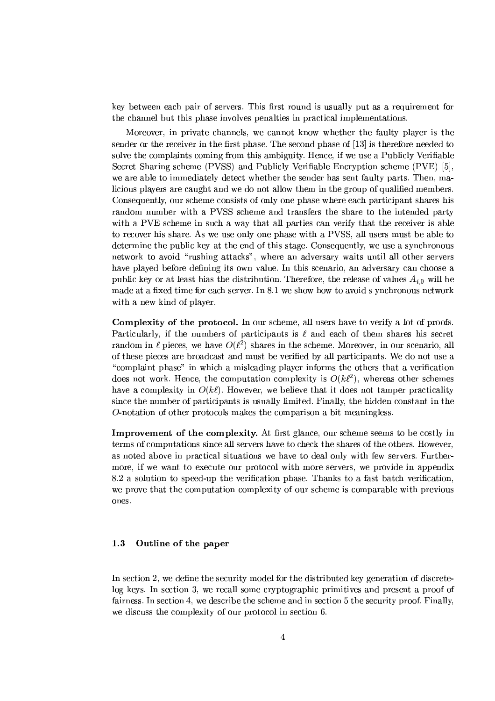key between each pair of servers. This first round is usually put as a requirement for the channel but this phase involves penalties in practical implementations.

Moreover, in private channels, we cannot know whether the faulty player is the sender or the receiver in the first phase. The second phase of [13] is therefore needed to solve the complaints coming from this ambiguity. Hence, if we use a Publicly Verifiable Secret Sharing scheme (PVSS) and Publicly Verifiable Encryption scheme (PVE) [5]. we are able to immediately detect whether the sender has sent faulty parts. Then, malicious players are caught and we do not allow them in the group of qualified members. Consequently, our scheme consists of only one phase where each participant shares his random number with a PVSS scheme and transfers the share to the intended party with a PVE scheme in such a way that all parties can verify that the receiver is able to recover his share. As we use only one phase with a PVSS, all users must be able to determine the public key at the end of this stage. Consequently, we use a synchronous network to avoid "rushing attacks", where an adversary waits until all other servers have played before defining its own value. In this scenario, an adversary can choose a public key or at least bias the distribution. Therefore, the release of values  $A_{i,0}$  will be made at a fixed time for each server. In 8.1 we show how to avoid s ynchronous network with a new kind of player.

Complexity of the protocol. In our scheme, all users have to verify a lot of proofs. Particularly, if the numbers of participants is  $\ell$  and each of them shares his secret random in  $\ell$  pieces, we have  $O(\ell^2)$  shares in the scheme. Moreover, in our scenario, all of these pieces are broadcast and must be verified by all participants. We do not use a "complaint phase" in which a misleading player informs the others that a verification does not work. Hence, the computation complexity is  $O(k\ell^2)$ , whereas other schemes have a complexity in  $O(k\ell)$ . However, we believe that it does not tamper practicality since the number of participants is usually limited. Finally, the hidden constant in the O-notation of other protocols makes the comparison a bit meaningless.

**Improvement of the complexity.** At first glance, our scheme seems to be costly in terms of computations since all servers have to check the shares of the others. However, as noted above in practical situations we have to deal only with few servers. Furthermore, if we want to execute our protocol with more servers, we provide in appendix 8.2 a solution to speed-up the verification phase. Thanks to a fast batch verification, we prove that the computation complexity of our scheme is comparable with previous ones.

#### Outline of the paper 1.3

In section 2, we define the security model for the distributed key generation of discretelog keys. In section 3, we recall some cryptographic primitives and present a proof of fairness. In section 4, we describe the scheme and in section 5 the security proof. Finally, we discuss the complexity of our protocol in section 6.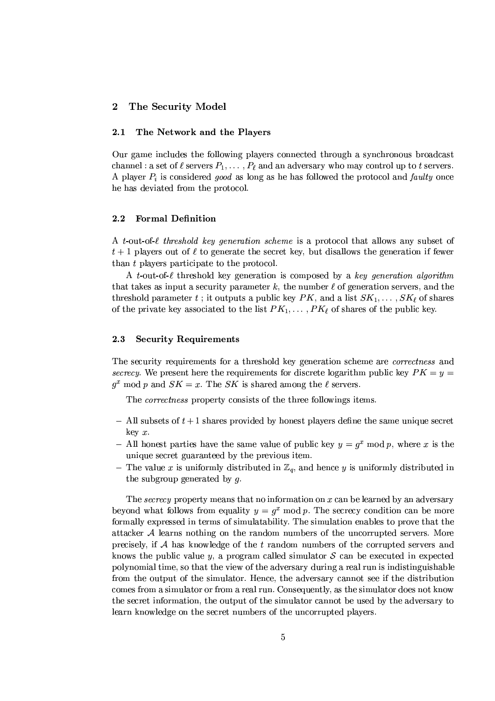#### The Security Model  $\bf{2}$

#### The Network and the Players  $2.1$

Our game includes the following players connected through a synchronous broadcast channel : a set of  $\ell$  servers  $P_1, \ldots, P_\ell$  and an adversary who may control up to t servers. A player  $P_i$  is considered good as long as he has followed the protocol and faulty once he has deviated from the protocol.

#### $2.2$ **Formal Definition**

A t-out-of- $\ell$  threshold key generation scheme is a protocol that allows any subset of  $t+1$  players out of  $\ell$  to generate the secret key, but disallows the generation if fewer than t players participate to the protocol.

A t-out-of- $\ell$  threshold key generation is composed by a key generation algorithm that takes as input a security parameter k, the number  $\ell$  of generation servers, and the threshold parameter t; it outputs a public key  $PK$ , and a list  $SK_1, \ldots, SK_\ell$  of shares of the private key associated to the list  $PK_1, \ldots, PK_{\ell}$  of shares of the public key.

#### 2.3 **Security Requirements**

The security requirements for a threshold key generation scheme are *correctness* and secrecy. We present here the requirements for discrete logarithm public key  $PK = y =$  $g^x$  mod p and  $SK = x$ . The SK is shared among the  $\ell$  servers.

The *correctness* property consists of the three followings items.

- All subsets of  $t+1$  shares provided by honest players define the same unique secret  $key x$ .
- All honest parties have the same value of public key  $y = q^x \mod p$ , where x is the unique secret guaranteed by the previous item.
- The value x is uniformly distributed in  $\mathbb{Z}_q$ , and hence y is uniformly distributed in the subgroup generated by  $q$ .

The secrecy property means that no information on  $x$  can be learned by an adversary beyond what follows from equality  $y = g^x \mod p$ . The secrecy condition can be more formally expressed in terms of simulatability. The simulation enables to prove that the attacker  $A$  learns nothing on the random numbers of the uncorrupted servers. More precisely, if  $A$  has knowledge of the  $t$  random numbers of the corrupted servers and knows the public value y, a program called simulator  $\mathcal S$  can be executed in expected polynomial time, so that the view of the adversary during a real run is indistinguishable from the output of the simulator. Hence, the adversary cannot see if the distribution comes from a simulator or from a real run. Consequently, as the simulator does not know the secret information, the output of the simulator cannot be used by the adversary to learn knowledge on the secret numbers of the uncorrupted players.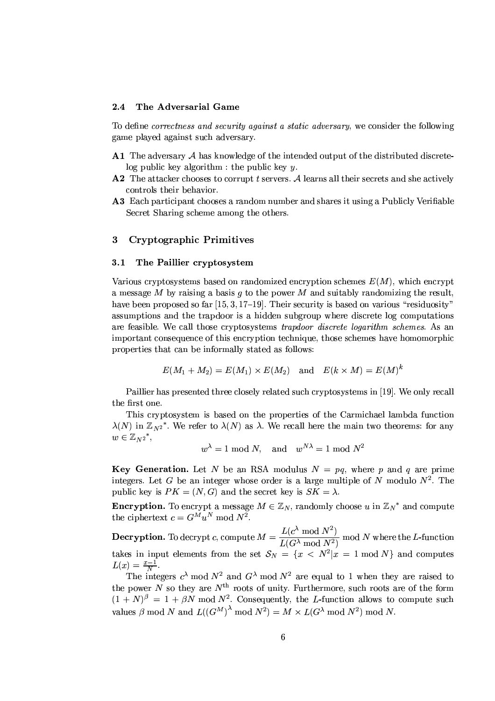#### $2.4$ The Adversarial Game

To define *correctness* and *security against a static adversary*, we consider the following game played against such adversary.

- **A1** The adversary  $A$  has knowledge of the intended output of the distributed discrete- $\log$  public key algorithm : the public key y.
- A2 The attacker chooses to corrupt t servers. A learns all their secrets and she actively controls their behavior.
- A3 Each participant chooses a random number and shares it using a Publicly Verifiable Secret Sharing scheme among the others.

#### 3 Cryptographic Primitives

#### $3.1$ The Paillier cryptosystem

Various cryptosystems based on randomized encryption schemes  $E(M)$ , which encrypt a message M by raising a basis  $g$  to the power M and suitably randomizing the result, have been proposed so far  $[15, 3, 17-19]$ . Their security is based on various "residuosity" assumptions and the trapdoor is a hidden subgroup where discrete log computations are feasible. We call those cryptosystems *trapdoor* discrete logarithm schemes. As an important consequence of this encryption technique, those schemes have homomorphic properties that can be informally stated as follows:

$$
E(M_1+M_2)=E(M_1)\times E(M_2)\quad\text{and}\quad E(k\times M)=E(M)^k
$$

Paillier has presented three closely related such cryptosystems in [19]. We only recall the first one.

This cryptosystem is based on the properties of the Carmichael lambda function  $\lambda(N)$  in  $\mathbb{Z}_{N^2}^*$ . We refer to  $\lambda(N)$  as  $\lambda$ . We recall here the main two theorems: for any  $w\in \mathbb{Z}_{N^2}^*$ ,

$$
w^{\lambda} = 1 \mod N
$$
, and  $w^{N\lambda} = 1 \mod N^2$ 

**Key Generation.** Let N be an RSA modulus  $N = pq$ , where p and q are prime integers. Let G be an integer whose order is a large multiple of N modulo  $N^2$ . The public key is  $PK = (N, G)$  and the secret key is  $SK = \lambda$ .

**Encryption.** To encrypt a message  $M \in \mathbb{Z}_N$ , randomly choose u in  $\mathbb{Z}_N^*$  and compute the ciphertext  $c = G^{\tilde{M}} u^N \text{ mod } N^2$ .

**Decryption.** To decrypt c, compute  $M = \frac{L(c^{\lambda} \mod N^2)}{L(G^{\lambda} \mod N^2)}$  mod N where the L-function takes in input elements from the set  $S_N = \{x \le N^2 | x = 1 \bmod N\}$  and computes  $L(x) = \frac{x-1}{N}$ .

The integers  $c^{\lambda}$  mod  $N^2$  and  $G^{\lambda}$  mod  $N^2$  are equal to 1 when they are raised to the power N so they are  $N^{\text{th}}$  roots of unity. Furthermore, such roots are of the form  $(1+N)^{\beta} = 1 + \beta N \mod N^2$ . Consequently, the L-function allows to compute such values  $\beta$  mod N and  $L((G^M)^{\lambda} \mod N^2) = M \times L(G^{\lambda} \mod N^2) \mod N$ .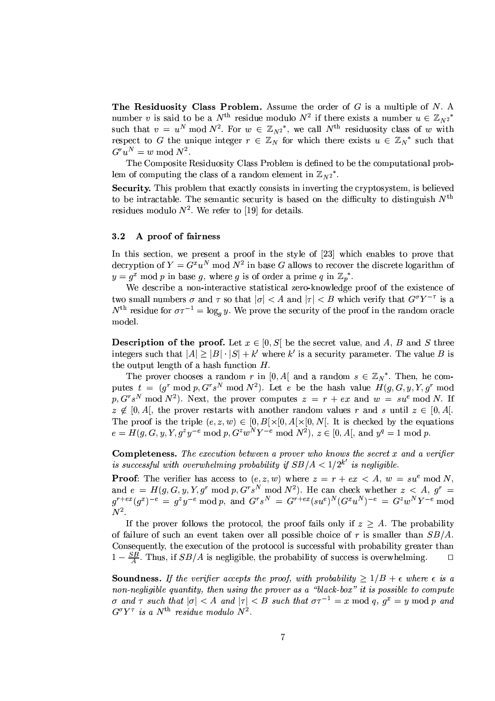The Residuosity Class Problem. Assume the order of G is a multiple of N. A number v is said to be a  $N^{\text{th}}$  residue modulo  $N^2$  if there exists a number  $u \in \mathbb{Z}_{N^2}^*$ such that  $v = u^N \mod N^2$ . For  $w \in \mathbb{Z}_{N^2}^*$ , we call  $N^{\text{th}}$  residuosity class of w with respect to G the unique integer  $r \in \mathbb{Z}_N$  for which there exists  $u \in \mathbb{Z}_N^*$  such that  $G^r u^N = w \bmod N^2$ .

The Composite Residuosity Class Problem is defined to be the computational problem of computing the class of a random element in  $\mathbb{Z}_{N^2}^*$ .

Security. This problem that exactly consists in inverting the cryptosystem, is believed to be intractable. The semantic security is based on the difficulty to distinguish  $N^{\text{th}}$ residues modulo  $N^2$ . We refer to [19] for details.

#### $3.2$ A proof of fairness

In this section, we present a proof in the style of [23] which enables to prove that decryption of  $Y = G^x u^N$  mod  $N^2$  in base G allows to recover the discrete logarithm of  $y = g^x \mod p$  in base g, where g is of order a prime q in  $\mathbb{Z}_p^*$ .

We describe a non-interactive statistical zero-knowledge proof of the existence of two small numbers  $\sigma$  and  $\tau$  so that  $|\sigma| < A$  and  $|\tau| < B$  which verify that  $G^{\sigma}Y^{-\tau}$  is a  $N^{\text{th}}$  residue for  $\sigma\tau^{-1} = \log_a y$ . We prove the security of the proof in the random oracle model.

**Description of the proof.** Let  $x \in [0, S]$  be the secret value, and A, B and S three integers such that  $|A| \geq |B| \cdot |S| + k'$  where k' is a security parameter. The value B is the output length of a hash function  $H$ .

The prover chooses a random r in [0, A] and a random  $s \in \mathbb{Z}_N^*$ . Then, he computes  $t = (g^r \mod p, G^r s^N \mod N^2)$ . Let e be the hash value  $H(g, G, y, Y, g^r \mod N^2)$  $p, G^r s^N \mod N^2$ . Next, the prover computes  $z = r + e^x$  and  $w = s u^e \mod N$ . If  $z \notin [0, A]$ , the prover restarts with another random values r and s until  $z \in [0, A]$ . The proof is the triple  $(e, z, w) \in [0, B] \times [0, A] \times [0, N]$ . It is checked by the equations  $e = H(q, G, y, Y, q^z y^{-e} \text{ mod } p, G^z w^N Y^{-e} \text{ mod } N^2), z \in [0, A], \text{ and } y^q = 1 \text{ mod } p.$ 

**Completeness.** The execution between a prover who knows the secret  $x$  and a verifier is successful with overwhelming probability if  $SB/A < 1/2^{k'}$  is negligible.

**Proof:** The verifier has access to  $(e, z, w)$  where  $z = r + ex < A$ ,  $w = su^e \mod N$ , and  $e = H(g, G, y, Y, g^r \mod p, G^r s^N \mod N^2)$ . He can check whether  $z < A, g^r =$  $g^{r+ex}(g^x)^{-e} = g^z y^{-e} \bmod p$ , and  $G^r s^N = G^{r+ex}(su^e)^N (G^x u^N)^{-e} = G^z w^N Y^{-e} \bmod p$  $N^2$ .

If the prover follows the protocol, the proof fails only if  $z \geq A$ . The probability of failure of such an event taken over all possible choice of r is smaller than  $SB/A$ . Consequently, the execution of the protocol is successful with probability greater than  $1-\frac{SB}{A}$ . Thus, if  $SB/A$  is negligible, the probability of success is overwhelming.  $\Box$ 

**Soundness.** If the verifier accepts the proof, with probability  $> 1/B + \epsilon$  where  $\epsilon$  is a non-negligible quantity, then using the prover as a "black-box" it is possible to compute  $\sigma$  and  $\tau$  such that  $|\sigma| < A$  and  $|\tau| < B$  such that  $\sigma \tau^{-1} = x \mod q$ ,  $q^x = y \mod p$  and  $G^{\sigma}Y^{\tau}$  is a N<sup>th</sup> residue modulo N<sup>2</sup>.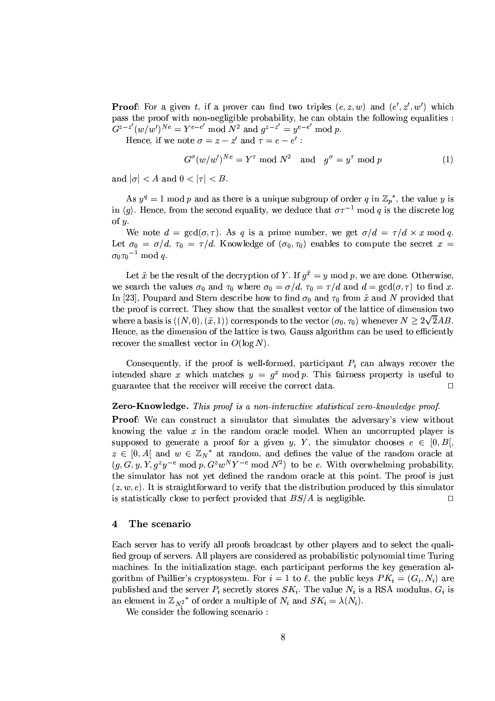**Proof:** For a given t, if a prover can find two triples  $(e, z, w)$  and  $(e', z', w')$  which pass the proof with non-negligible probability, he can obtain the following equalities :  $G^{z-z'}(w/w')^{Ne} = Y^{e-e'} \bmod N^2$  and  $g^{z-z'} = y^{e-e'} \bmod p$ .

Hence, if we note  $\sigma = z - z'$  and  $\tau = e - e'$ :

$$
G^{\sigma}(w/w')^{Ne} = Y^{\tau} \bmod N^2 \quad \text{and} \quad g^{\sigma} = y^{\tau} \bmod p \tag{1}
$$

and  $|\sigma| < A$  and  $0 < |\tau| < B$ .

As  $y^q = 1$  mod p and as there is a unique subgroup of order q in  $\mathbb{Z}_p^*$ , the value y is in  $\langle g \rangle$ . Hence, from the second equality, we deduce that  $\sigma \tau^{-1}$  mod q is the discrete log of  $u$ .

We note  $d = \gcd(\sigma, \tau)$ . As q is a prime number, we get  $\sigma/d = \tau/d \times x \mod q$ . Let  $\sigma_0 = \sigma/d$ ,  $\tau_0 = \tau/d$ . Knowledge of  $(\sigma_0, \tau_0)$  enables to compute the secret  $x =$  $\sigma_0 \tau_0{}^{-1} \bmod q.$ 

Let  $\tilde{x}$  be the result of the decryption of Y. If  $g^{\tilde{x}} = y$  mod p, we are done. Otherwise, we search the values  $\sigma_0$  and  $\tau_0$  where  $\sigma_0 = \sigma/d$ ,  $\tau_0 = \tau/d$  and  $d = \gcd(\sigma, \tau)$  to find x. In [23], Poupard and Stern describe how to find  $\sigma_0$  and  $\tau_0$  from  $\tilde{x}$  and N provided that the proof is correct. They show that the smallest vector of the lattice of dimension two where a basis is  $((N,0), (\tilde{x},1))$  corresponds to the vector  $(\sigma_0, \tau_0)$  whenever  $N > 2\sqrt{2}AB$ . Hence, as the dimension of the lattice is two. Gauss algorithm can be used to efficiently recover the smallest vector in  $O(\log N)$ .

Consequently, if the proof is well-formed, participant  $P_i$  can always recover the intended share x which matches  $y = g^x \mod p$ . This fairness property is useful to guarantee that the receiver will receive the correct data.  $\Box$ 

### **Zero-Knowledge.** This proof is a non-interactive statistical zero-knowledge proof.

**Proof:** We can construct a simulator that simulates the adversary's view without knowing the value  $x$  in the random oracle model. When an uncorrupted player is supposed to generate a proof for a given y, Y, the simulator chooses  $e \in [0, B]$ ,  $z \in [0, A]$  and  $w \in \mathbb{Z}_N^*$  at random, and defines the value of the random oracle at  $(g, G, y, Y, g^2y^{-e} \mod p, G^2w^NY^{-e} \mod N^2)$  to be e. With overwhelming probability, the simulator has not yet defined the random oracle at this point. The proof is just  $(z, w, e)$ . It is straightforward to verify that the distribution produced by this simulator is statistically close to perfect provided that  $BS/A$  is negligible.  $\Box$ 

#### $\overline{\mathbf{4}}$ The scenario

Each server has to verify all proofs broadcast by other players and to select the qualified group of servers. All players are considered as probabilistic polynomial time Turing machines. In the initialization stage, each participant performs the key generation algorithm of Paillier's cryptosystem. For  $i = 1$  to  $\ell$ , the public keys  $PK_i = (G_i, N_i)$  are published and the server  $P_i$  secretly stores  $SK_i$ . The value  $N_i$  is a RSA modulus,  $G_i$  is an element in  $\mathbb{Z}_{N^2}^*$  of order a multiple of  $N_i$  and  $SK_i = \lambda(N_i)$ .

We consider the following scenario: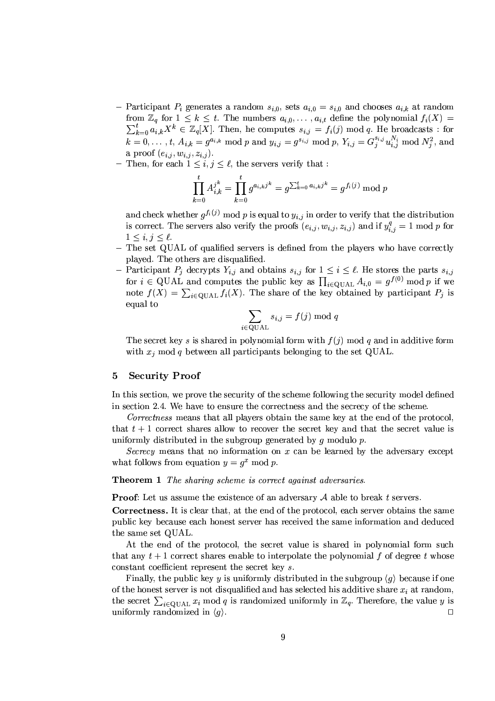- Participant  $P_i$  generates a random  $s_{i,0}$ , sets  $a_{i,0} = s_{i,0}$  and chooses  $a_{i,k}$  at random from  $\mathbb{Z}_q$  for  $1 \leq k \leq t$ . The numbers  $a_{i,0}, \ldots, a_{i,t}$  define the polynomial  $f_i(X)$  $\sum_{k=0}^{t} a_{i,k} X^k \in \mathbb{Z}_q[\overline{X}]$ . Then, he computes  $s_{i,j} = f_i(j) \mod q$ . He broadcasts : for  $k = 0, \ldots, t$ ,  $A_{i,k} = g^{a_{i,k}} \mod p$  and  $y_{i,j} = g^{s_{i,j}} \mod p$ ,  $Y_{i,j} = G_j^{s_{i,j}} u_{i,j}^{N_i} \mod N_j^2$ , and a proof  $(e_{i,j}, w_{i,j}, z_{i,j})$ .
- Then, for each  $1 \leq i, j \leq \ell$ , the servers verify that:

$$
\prod_{k=0}^{t} A_{i,k}^{j^k} = \prod_{k=0}^{t} g^{a_{i,k}j^k} = g^{\sum_{k=0}^{t} a_{i,k}j^k} = g^{f_i(j)} \bmod p
$$

and check whether  $g^{f_i(j)}$  mod p is equal to  $y_{i,j}$  in order to verify that the distribution is correct. The servers also verify the proofs  $(e_{i,j}, w_{i,j}, z_{i,j})$  and if  $y_{i,j}^q = 1 \text{ mod } p$  for  $1\leq i,j\leq \ell$ .

- The set QUAL of qualified servers is defined from the players who have correctly played. The others are disqualified.
- Participant  $P_j$  decrypts  $Y_{i,j}$  and obtains  $s_{i,j}$  for  $1 \leq i \leq \ell$ . He stores the parts  $s_{i,j}$ for  $i \in \text{QUAL}$  and computes the public key as  $\prod_{i \in \text{QUAL}} A_{i,0} = g^{f(0)} \mod p$  if we note  $f(X) = \sum_{i \in \text{QUAL}} f_i(X)$ . The share of the key obtained by participant  $P_j$  is equal to

$$
\sum_{\substack{\in \text{QUAL}}} s_{i,j} = f(j) \bmod q
$$

The secret key s is shared in polynomial form with  $f(i)$  mod q and in additive form with  $x_i$  mod q between all participants belonging to the set QUAL.

#### 5 **Security Proof**

In this section, we prove the security of the scheme following the security model defined in section 2.4. We have to ensure the correctness and the secrecy of the scheme.

Correctness means that all players obtain the same key at the end of the protocol, that  $t + 1$  correct shares allow to recover the secret key and that the secret value is uniformly distributed in the subgroup generated by  $q$  modulo  $p$ .

Secrecy means that no information on x can be learned by the adversary except what follows from equation  $y = q^x \mod p$ .

**Theorem 1** The sharing scheme is correct against adversaries.

 $\dot{i}$ 

**Proof:** Let us assume the existence of an adversary  $A$  able to break t servers.

**Correctness.** It is clear that, at the end of the protocol, each server obtains the same public key because each honest server has received the same information and deduced the same set QUAL.

At the end of the protocol, the secret value is shared in polynomial form such that any  $t+1$  correct shares enable to interpolate the polynomial f of degree t whose constant coefficient represent the secret key s.

Finally, the public key y is uniformly distributed in the subgroup  $\langle q \rangle$  because if one of the honest server is not disqualified and has selected his additive share  $x_i$  at random, the secret  $\sum_{i\in \text{OIIAL}} x_i \mod q$  is randomized uniformly in  $\mathbb{Z}_q$ . Therefore, the value y is uniformly randomized in  $\langle q \rangle$ .  $\Box$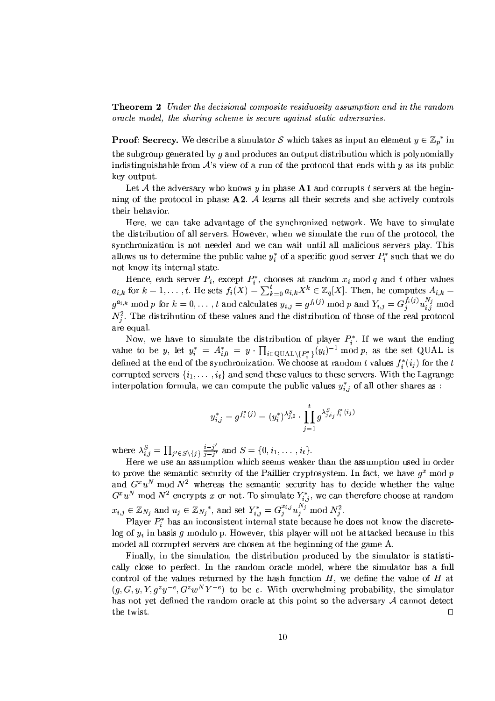**Theorem 2** Under the decisional composite residuosity assumption and in the random oracle model, the sharing scheme is secure against static adversaries.

**Proof: Secrecy.** We describe a simulator S which takes as input an element  $y \in \mathbb{Z}_p^*$  in the subgroup generated by g and produces an output distribution which is polynomially indistinguishable from  $\mathcal{A}$ 's view of a run of the protocol that ends with y as its public key output.

Let A the adversary who knows y in phase A1 and corrupts t servers at the beginning of the protocol in phase A2. A learns all their secrets and she actively controls their behavior.

Here, we can take advantage of the synchronized network. We have to simulate the distribution of all servers. However, when we simulate the run of the protocol, the synchronization is not needed and we can wait until all malicious servers play. This allows us to determine the public value  $y_i^*$  of a specific good server  $P_i^*$  such that we do not know its internal state

Hence, each server  $P_i$ , except  $P_i^*$ , chooses at random  $x_i$  mod q and t other values  $a_{i,k}$  for  $k = 1, \ldots, t$ . He sets  $f_i(X) = \sum_{k=0}^{t} a_{i,k} X^k \in \mathbb{Z}_q[X]$ . Then, he computes  $A_{i,k} =$  $g^{a_{i,k}}$  mod p for  $k = 0, \ldots, t$  and calculates  $y_{i,j} = g^{f_i(j)}$  mod p and  $Y_{i,j} = G_j^{f_i(j)} u_{i,j}^{N_j}$  mod  $N_i^2$ . The distribution of these values and the distribution of those of the real protocol are equal.

Now, we have to simulate the distribution of player  $P_i^*$ . If we want the ending value to be y, let  $y_i^* = A_{i,0}^* = y \cdot \prod_{i \in \text{QUAL}\backslash \{P_i^*\}} (y_i)^{-1} \text{ mod } p$ , as the set QUAL is defined at the end of the synchronization. We choose at random t values  $f_i^*(i_j)$  for the t corrupted servers  $\{i_1, \ldots, i_t\}$  and send these values to these servers. With the Lagrange interpolation formula, we can compute the public values  $y_{i,j}^*$  of all other shares as :

$$
y_{i,j}^* = g^{f_i^*(j)} = (y_i^*)^{\lambda_{j,0}^S} \cdot \prod_{j=1}^t g^{\lambda_{j,i_j}^S f_i^*(i_j)}
$$

where  $\lambda_{i,j}^S = \prod_{j' \in S \setminus \{j\}} \frac{i-j'}{j-j'}$  and  $S = \{0, i_1, \dots, i_t\}.$ <br>Here we use an assumption which seems weaker than the assumption used in order

to prove the semantic security of the Paillier cryptosystem. In fact, we have  $g^x$  mod p and  $G^x u^N$  mod  $N^2$  whereas the semantic security has to decide whether the value  $G^x u^N$  mod  $N^2$  encrypts x or not. To simulate  $Y_{i,j}^*$ , we can therefore choose at random<br>  $x_{i,j} \in \mathbb{Z}_{N_j}$  and  $u_j \in \mathbb{Z}_{N_j}^*$ , and set  $Y_{i,j}^* = G_j^{x_{i,j}} u_j^{N_j}$  mod  $N_j^2$ .<br>
Player  $P_i^*$  has an inconsistent int

 $\log$  of  $y_i$  in basis q modulo p. However, this player will not be attacked because in this model all corrupted servers are chosen at the beginning of the game A.

Finally, in the simulation, the distribution produced by the simulator is statistically close to perfect. In the random oracle model, where the simulator has a full control of the values returned by the hash function  $H$ , we define the value of  $H$  at  $(g, G, y, Y, g^2y^{-e}, G^zw^NY^{-e})$  to be e. With overwhelming probability, the simulator has not yet defined the random oracle at this point so the adversary A cannot detect the twist.  $\Box$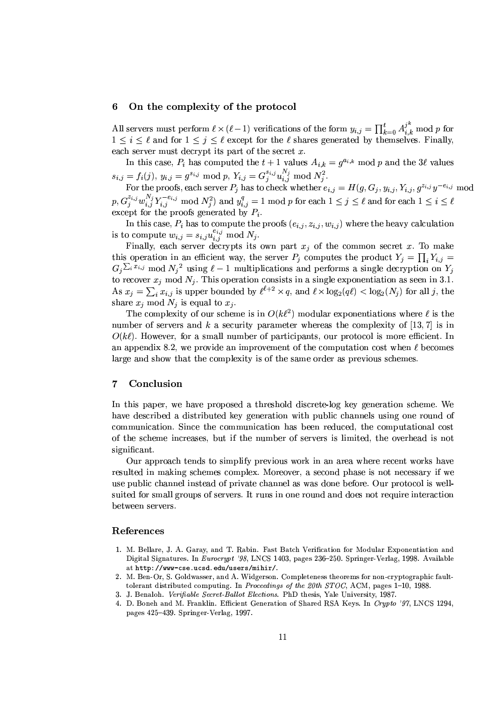#### On the complexity of the protocol 6

All servers must perform  $\ell \times (\ell - 1)$  verifications of the form  $y_{i,j} = \prod_{k=0}^{t} A_{i,k}^{j^k}$  mod p for  $1 \leq i \leq \ell$  and for  $1 \leq j \leq \ell$  except for the  $\ell$  shares generated by themselves. Finally, each server must decrypt its part of the secret  $x$ .

In this case,  $P_i$  has computed the  $t+1$  values  $A_{i,k} = g^{a_{i,k}}$  mod p and the 3l values  $s_{i,j} = f_i(j), y_{i,j} = g^{s_{i,j}} \mod p, Y_{i,j} = G_j^{s_{i,j}} u_{i,j}^{N_j} \mod N_j^2.$ <br>For the proofs, each server  $P_j$  has to check whether  $e_{i,j} = H(g, G_j, y_{i,j}, Y_{i,j}, g^{z_{i,j}} y^{-e_{i,j}} \mod N_j^2)$ 

 $p, G_i^{z_{i,j}} w_{i,j}^{N_j} Y_{i,j}^{-e_{i,j}} \mod N_i^2$  and  $y_{i,j}^q = 1 \mod p$  for each  $1 \leq j \leq \ell$  and for each  $1 \leq i \leq \ell$ except for the proofs generated by  $P_i$ .

In this case,  $P_i$  has to compute the proofs  $(e_{i,j}, z_{i,j}, w_{i,j})$  where the heavy calculation is to compute  $w_{i,j} = s_{i,j} u_{i,j}^{e_{i,j}} \mod N_j$ .

Finally, each server decrypts its own part  $x_j$  of the common secret x. To make this operation in an efficient way, the server  $P_j$  computes the product  $Y_j = \prod_i Y_{i,j} =$  $G_j^{\sum_i x_{i,j}}$  mod  $N_j^2$  using  $\ell-1$  multiplications and performs a single decryption on  $Y_j$ to recover  $x_j$  mod  $N_j$ . This operation consists in a single exponentiation as seen in 3.1. As  $x_j = \sum_i x_{i,j}$  is upper bounded by  $\ell^{\ell+2} \times q$ , and  $\ell \times \log_2(q\ell) < \log_2(N_j)$  for all j, the share  $x_j \mod N_j$  is equal to  $x_j$ .

The complexity of our scheme is in  $O(k\ell^2)$  modular exponentiations where  $\ell$  is the number of servers and k a security parameter whereas the complexity of [13, 7] is in  $O(k\ell)$ . However, for a small number of participants, our protocol is more efficient. In an appendix 8.2, we provide an improvement of the computation cost when  $\ell$  becomes large and show that the complexity is of the same order as previous schemes.

#### Conclusion 7

In this paper, we have proposed a threshold discrete-log key generation scheme. We have described a distributed key generation with public channels using one round of communication. Since the communication has been reduced, the computational cost of the scheme increases, but if the number of servers is limited, the overhead is not significant.

Our approach tends to simplify previous work in an area where recent works have resulted in making schemes complex. Moreover, a second phase is not necessary if we use public channel instead of private channel as was done before. Our protocol is wellsuited for small groups of servers. It runs in one round and does not require interaction between servers.

### References

- 1. M. Bellare, J. A. Garay, and T. Rabin. Fast Batch Verification for Modular Exponentiation and Digital Signatures. In Eurocrypt '98, LNCS 1403, pages 236-250. Springer-Verlag, 1998. Available at http://www-cse.ucsd.edu/users/mihir/.
- 2. M. Ben-Or, S. Goldwasser, and A. Widgerson. Completeness theorems for non-cryptographic faulttolerant distributed computing. In Proceedings of the 20th STOC, ACM, pages 1-10, 1988.
- 3. J. Benaloh. Verifiable Secret-Ballot Elections. PhD thesis, Yale University, 1987.
- 4. D. Boneh and M. Franklin. Efficient Generation of Shared RSA Keys. In Crypto '97, LNCS 1294, pages 425-439. Springer-Verlag, 1997.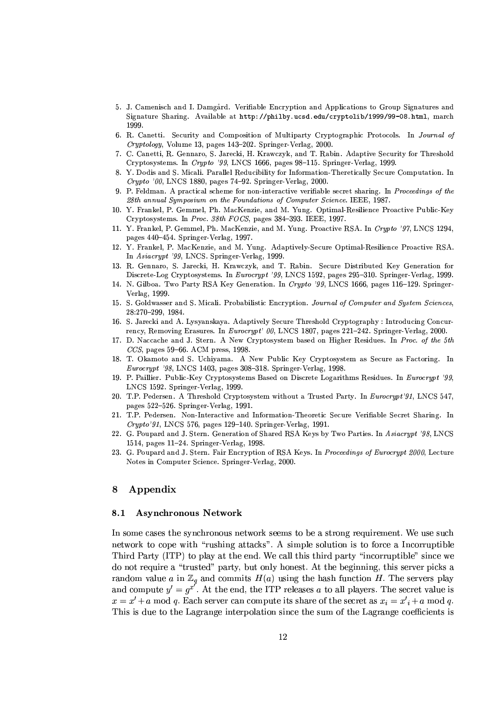- 5. J. Camenisch and I. Damgård. Verifiable Encryption and Applications to Group Signatures and Signature Sharing. Available at http://philby.ucsd.edu/cryptolib/1999/99-08.html, march 1999
- 6. R. Canetti. Security and Composition of Multiparty Cryptographic Protocols. In Journal of Cryptology, Volume 13, pages 143-202. Springer-Verlag, 2000.
- 7. C. Canetti, R. Gennaro, S. Jarecki, H. Krawczyk, and T. Rabin. Adaptive Security for Threshold Cryptosystems. In Crypto '99, LNCS 1666, pages 98-115. Springer-Verlag, 1999.
- 8. Y. Dodis and S. Micali. Parallel Reducibility for Information-Theretically Secure Computation. In  $Crypto$  '00, LNCS 1880, pages 74–92. Springer-Verlag, 2000.
- P. Feldman. A practical scheme for non-interactive verifiable secret sharing. In Proceedings of the 28th annual Symposium on the Foundations of Computer Science. IEEE, 1987.
- 10. Y. Frankel, P. Gemmel, Ph. MacKenzie, and M. Yung. Optimal-Resilience Proactive Public-Key Cryptosystems. In Proc. 38th FOCS, pages 384-393. IEEE, 1997.
- 11. Y. Frankel, P. Gemmel, Ph. MacKenzie, and M. Yung. Proactive RSA. In Crypto '97, LNCS 1294, pages 440-454. Springer-Verlag, 1997.
- Y. Frankel, P. MacKenzie, and M. Yung. Adaptively-Secure Optimal-Resilience Proactive RSA. 12. In Asiacrypt '99, LNCS. Springer-Verlag, 1999
- 13. R. Gennaro, S. Jarecki, H. Krawczyk, and T. Rabin. Secure Distributed Key Generation for Discrete-Log Cryptosystems. In Eurocrypt '99, LNCS 1592, pages 295-310. Springer-Verlag, 1999.
- 14. N. Gilboa. Two Party RSA Key Generation. In Crypto '99, LNCS 1666, pages 116–129. Springer-Verlag, 1999.
- 15. S. Goldwasser and S. Micali. Probabilistic Encryption. Journal of Computer and System Sciences. 28:270-299, 1984.
- 16. S. Jarecki and A. Lysyanskaya. Adaptively Secure Threshold Cryptography : Introducing Concurrency, Removing Erasures. In Eurocrypt' 00, LNCS 1807, pages 221-242. Springer-Verlag, 2000.
- 17. D. Naccache and J. Stern. A New Cryptosystem based on Higher Residues. In Proc. of the 5th  $CCS$ , pages 59–66. ACM press, 1998.
- 18. T. Okamoto and S. Uchiyama. A New Public Key Cryptosystem as Secure as Factoring. In Eurocrypt '98, LNCS 1403, pages 308-318. Springer-Verlag, 1998.
- 19. P. Paillier. Public-Key Cryptosystems Based on Discrete Logarithms Residues. In Eurocrypt '99, LNCS 1592. Springer-Verlag, 1999.
- 20. T.P. Pedersen. A Threshold Cryptosystem without a Trusted Party. In Eurocrypt'91, LNCS 547, pages 522-526. Springer-Verlag, 1991.
- 21. T.P. Pedersen. Non-Interactive and Information-Theoretic Secure Verifiable Secret Sharing. In  $Crypto 91$ , LNCS 576, pages 129–140. Springer-Verlag, 1991.
- 22. G. Poupard and J. Stern. Generation of Shared RSA Keys by Two Parties. In Asiacrypt '98, LNCS 1514, pages 11–24. Springer-Verlag, 1998.
- 23. G. Poupard and J. Stern. Fair Encryption of RSA Keys. In Proceedings of Eurocrypt 2000, Lecture Notes in Computer Science. Springer-Verlag, 2000.

#### 8 Appendix

#### **Asynchronous Network** 8.1

In some cases the synchronous network seems to be a strong requirement. We use such network to cope with "rushing attacks". A simple solution is to force a Incorruptible Third Party (ITP) to play at the end. We call this third party "incorruptible" since we do not require a "trusted" party, but only honest. At the beginning, this server picks a random value a in  $\mathbb{Z}_q$  and commits  $H(a)$  using the hash function H. The servers play and compute  $y' = g^{x'}$ . At the end, the ITP releases a to all players. The secret value is  $x = x' + a \mod q$ . Each server can compute its share of the secret as  $x_i = x'_i + a \mod q$ . This is due to the Lagrange interpolation since the sum of the Lagrange coefficients is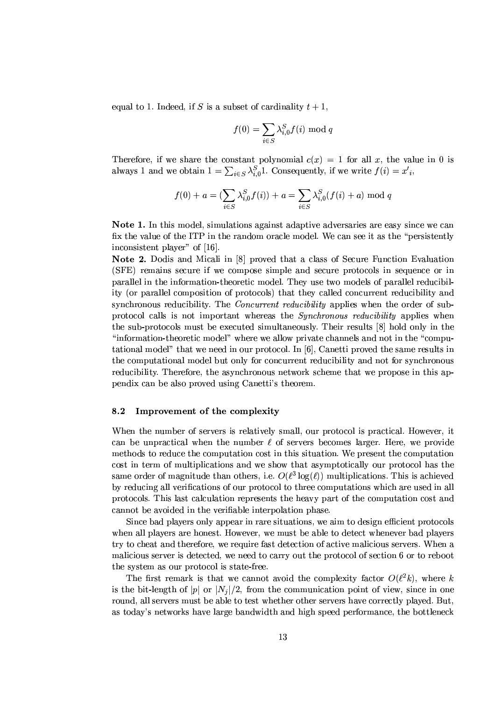equal to 1. Indeed, if S is a subset of cardinality  $t + 1$ ,

$$
f(0) = \sum_{i \in S} \lambda_{i,0}^S f(i) \bmod q
$$

Therefore, if we share the constant polynomial  $c(x) = 1$  for all x, the value in 0 is always 1 and we obtain  $1 = \sum_{i \in S} \lambda_{i,0}^S 1$ . Consequently, if we write  $f(i) = x'_i$ ,

$$
f(0) + a = \left(\sum_{i \in S} \lambda_{i,0}^S f(i)\right) + a = \sum_{i \in S} \lambda_{i,0}^S (f(i) + a) \mod q
$$

**Note 1.** In this model, simulations against adaptive adversaries are easy since we can fix the value of the ITP in the random oracle model. We can see it as the "persistently inconsistent player" of [16].

**Note 2.** Dodis and Micali in [8] proved that a class of Secure Function Evaluation (SFE) remains secure if we compose simple and secure protocols in sequence or in parallel in the information-theoretic model. They use two models of parallel reducibility (or parallel composition of protocols) that they called concurrent reducibility and synchronous reducibility. The *Concurrent reducibility* applies when the order of subprotocol calls is not important whereas the *Synchronous reducibility* applies when the sub-protocols must be executed simultaneously. Their results [8] hold only in the "information-theoretic model" where we allow private channels and not in the "computational model" that we need in our protocol. In  $[6]$ , Canetti proved the same results in the computational model but only for concurrent reducibility and not for synchronous reducibility. Therefore, the asynchronous network scheme that we propose in this appendix can be also proved using Canetti's theorem.

#### 8.2 Improvement of the complexity

When the number of servers is relatively small, our protocol is practical. However, it can be unpractical when the number  $\ell$  of servers becomes larger. Here, we provide methods to reduce the computation cost in this situation. We present the computation cost in term of multiplications and we show that asymptotically our protocol has the same order of magnitude than others, i.e.  $O(\ell^3 \log(\ell))$  multiplications. This is achieved by reducing all verifications of our protocol to three computations which are used in all protocols. This last calculation represents the heavy part of the computation cost and cannot be avoided in the verifiable interpolation phase.

Since bad players only appear in rare situations, we aim to design efficient protocols when all players are honest. However, we must be able to detect whenever bad players try to cheat and therefore, we require fast detection of active malicious servers. When a malicious server is detected, we need to carry out the protocol of section 6 or to reboot the system as our protocol is state-free.

The first remark is that we cannot avoid the complexity factor  $O(\ell^2k)$ , where k is the bit-length of  $|p|$  or  $|N_i|/2$ , from the communication point of view, since in one round, all servers must be able to test whether other servers have correctly played. But, as today's networks have large bandwidth and high speed performance, the bottleneck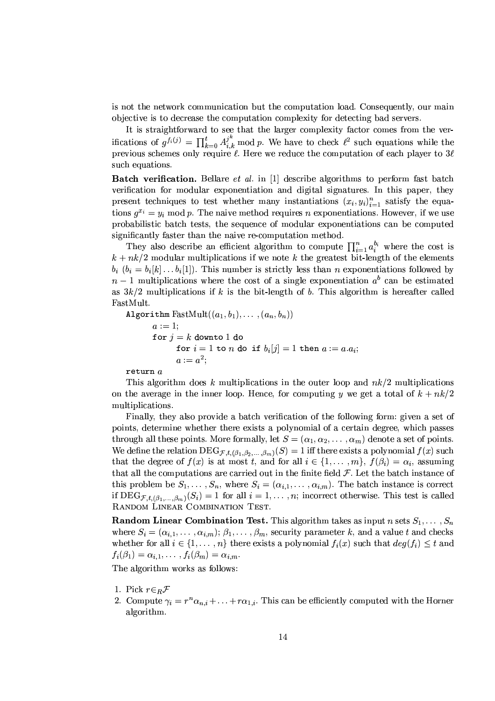is not the network communication but the computation load. Consequently, our main objective is to decrease the computation complexity for detecting bad servers.

It is straightforward to see that the larger complexity factor comes from the verifications of  $g^{f_i(j)} = \prod_{k=0}^t A_{i,k}^{j^k}$  mod p. We have to check  $\ell^2$  such equations while the previous schemes only require  $\ell$ . Here we reduce the computation of each player to  $3\ell$ such equations.

**Batch verification.** Bellare et al. in [1] describe algorithms to perform fast batch verification for modular exponentiation and digital signatures. In this paper, they present techniques to test whether many instantiations  $(x_i, y_i)_{i=1}^n$  satisfy the equations  $g^{x_i} = y_i \mod p$ . The naive method requires *n* exponentiations. However, if we use probabilistic batch tests, the sequence of modular exponentiations can be computed significantly faster than the naive re-computation method.

They also describe an efficient algorithm to compute  $\prod_{i=1}^n a_i^{b_i}$  where the cost is  $k + nk/2$  modular multiplications if we note k the greatest bit-length of the elements  $b_i$   $(b_i = b_i[k] \dots b_i[1])$ . This number is strictly less than *n* exponentiations followed by  $n-1$  multiplications where the cost of a single exponentiation  $a^b$  can be estimated as  $3k/2$  multiplications if k is the bit-length of b. This algorithm is hereafter called FastMult.

Algorithm FastMult $((a_1, b_1), \ldots, (a_n, b_n))$  $a := 1$ ; for  $j = k$  downto 1 do for  $i = 1$  to n do if  $b_i[j] = 1$  then  $a := a.a_i;$  $a := a^2$ 

 $return a$ 

This algorithm does k multiplications in the outer loop and  $nk/2$  multiplications on the average in the inner loop. Hence, for computing y we get a total of  $k + nk/2$ multiplications.

Finally, they also provide a batch verification of the following form: given a set of points, determine whether there exists a polynomial of a certain degree, which passes through all these points. More formally, let  $S = (\alpha_1, \alpha_2, \dots, \alpha_m)$  denote a set of points. We define the relation  $\text{DEG}_{\mathcal{F},t,(\beta_1,\beta_2,\ldots,\beta_m)}(S)=1$  iff there exists a polynomial  $f(x)$  such that the degree of  $f(x)$  is at most t, and for all  $i \in \{1, ..., m\}$ ,  $f(\beta_i) = \alpha_i$ , assuming that all the computations are carried out in the finite field  $\mathcal F$ . Let the batch instance of this problem be  $S_1, \ldots, S_n$ , where  $S_i = (\alpha_{i,1}, \ldots, \alpha_{i,m})$ . The batch instance is correct if  $\text{DEG}_{\mathcal{F},t}(\beta_1,\dots,\beta_m)(S_i) = 1$  for all  $i = 1,\dots,n$ ; incorrect otherwise. This test is called RANDOM LINEAR COMBINATION TEST.

**Random Linear Combination Test.** This algorithm takes as input n sets  $S_1, \ldots, S_n$ where  $S_i = (\alpha_{i,1}, \ldots, \alpha_{i,m}); \beta_1, \ldots, \beta_m$ , security parameter k, and a value t and checks whether for all  $i \in \{1, ..., n\}$  there exists a polynomial  $f_i(x)$  such that  $deg(f_i) \leq t$  and  $f_i(\beta_1) = \alpha_{i,1}, \ldots, f_i(\beta_m) = \alpha_{i,m}.$ 

The algorithm works as follows:

- 1. Pick  $r \in B\mathcal{F}$
- 2. Compute  $\gamma_i = r^n \alpha_{n,i} + \ldots + r \alpha_{1,i}$ . This can be efficiently computed with the Horner algorithm.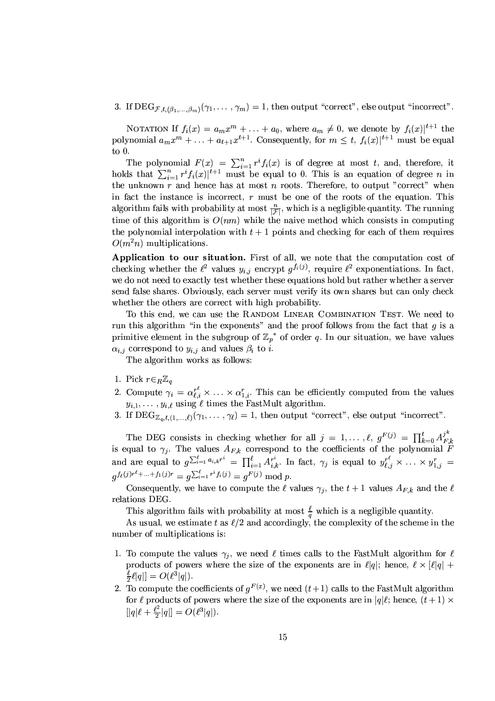3. If  $\text{DEG}_{\mathcal{F},t,(\beta_1,\ldots,\beta_m)}(\gamma_1,\ldots,\gamma_m)=1$ , then output "correct", else output "incorrect".

NOTATION If  $f_i(x) = a_m x^m + \ldots + a_0$ , where  $a_m \neq 0$ , we denote by  $f_i(x)|^{t+1}$  the polynomial  $a_m x^m + \ldots + a_{t+1} x^{t+1}$ . Consequently, for  $m \leq t$ ,  $f_i(x)|^{t+1}$  must be equal to  $0.$ 

The polynomial  $F(x) = \sum_{i=1}^{n} r^{i} f_{i}(x)$  is of degree at most t, and, therefore, it holds that  $\sum_{i=1}^{n} r^{i} f_{i}(x)|^{t+1}$  must be equal to 0. This is an equation of degree n in the unknown  $r$  and hence has at most  $n$  roots. Therefore, to output "correct" when in fact the instance is incorrect,  $r$  must be one of the roots of the equation. This algorithm fails with probability at most  $\frac{n}{|\mathcal{F}|}$ , which is a negligible quantity. The running time of this algorithm is  $O(nm)$  while the naive method which consists in computing the polynomial interpolation with  $t + 1$  points and checking for each of them requires  $O(m^2n)$  multiplications.

Application to our situation. First of all, we note that the computation cost of checking whether the  $\ell^2$  values  $y_{i,j}$  encrypt  $g^{f_i(j)}$ , require  $\ell^2$  exponentiations. In fact, we do not need to exactly test whether these equations hold but rather whether a server send false shares. Obviously, each server must verify its own shares but can only check whether the others are correct with high probability.

To this end, we can use the RANDOM LINEAR COMBINATION TEST. We need to run this algorithm "in the exponents" and the proof follows from the fact that  $g$  is a primitive element in the subgroup of  $\mathbb{Z}_p^*$  of order q. In our situation, we have values  $\alpha_{i,j}$  correspond to  $y_{i,j}$  and values  $\beta_i$  to i.

The algorithm works as follows:

- 1. Pick  $r \in R\mathbb{Z}_q$
- 2. Compute  $\gamma_i = \alpha_{\ell,i}^{r^{\ell}} \times \ldots \times \alpha_{1,i}^{r}$ . This can be efficiently computed from the values  $y_{i,1}, \ldots, y_{i,\ell}$  using  $\ell$  times the FastMult algorithm.
- 3. If  $\text{DEG}_{\mathbb{Z}_q,t,(1,\ldots,\ell)}(\gamma_1,\ldots,\gamma_\ell)=1$ , then output "correct", else output "incorrect".

The DEG consists in checking whether for all  $j = 1, ..., \ell, g^{F(j)} = \prod_{k=0}^{t} A_{F,k}^{j^k}$ <br>is equal to  $\gamma_j$ . The values  $A_{F,k}$  correspond to the coefficients of the polynomial F and are equal to  $g^{\sum_{i=1}^{\ell} a_{i,k}r^i} = \prod_{i=1}^{\ell} A_{i,k}^{r^i}$ . In fact,  $\gamma_j$  is equal to  $y_{\ell,j}^{r^{\ell}} \times \ldots \times y_{1,j}^{r} =$  $q^{f_{\ell}(j)r^{\ell}+\ldots+f_1(j)r} = q^{\sum_{i=1}^{\ell} r^i f_i(j)} = q^{F(j)} \mod p.$ 

Consequently, we have to compute the  $\ell$  values  $\gamma_i$ , the  $t+1$  values  $A_{F,k}$  and the  $\ell$ relations DEG.

This algorithm fails with probability at most  $\frac{\ell}{a}$  which is a negligible quantity.

As usual, we estimate t as  $\ell/2$  and accordingly, the complexity of the scheme in the number of multiplications is:

- 1. To compute the values  $\gamma_i$ , we need  $\ell$  times calls to the FastMult algorithm for  $\ell$ products of powers where the size of the exponents are in  $\ell|q|$ ; hence,  $\ell \times \lbrack \ell |q| +$  $\frac{\ell}{2} \ell |q|$  =  $O(\ell^3 |q|)$ .
- 2. To compute the coefficients of  $q^{F(x)}$ , we need  $(t+1)$  calls to the FastMult algorithm for  $\ell$  products of powers where the size of the exponents are in  $|q|\ell$ ; hence,  $(t+1) \times$  $[|q|\ell + \frac{\ell^2}{2}|q|] = O(\ell^3|q|).$